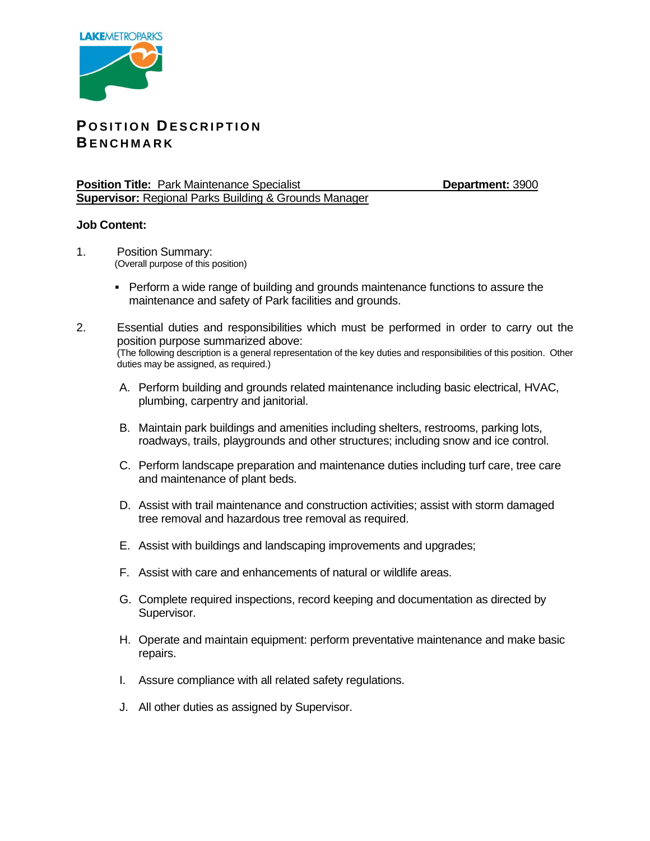

## **P O S I T I O N D E S C R I P T I O N B E N C H M A R K**

**Position Title: Park Maintenance Specialist <b>Department: 3900 Department: 3900 Supervisor:** Regional Parks Building & Grounds Manager

## **Job Content:**

- 1. Position Summary: (Overall purpose of this position)
	- Perform a wide range of building and grounds maintenance functions to assure the maintenance and safety of Park facilities and grounds.
- 2. Essential duties and responsibilities which must be performed in order to carry out the position purpose summarized above: (The following description is a general representation of the key duties and responsibilities of this position. Other duties may be assigned, as required.)
	- A. Perform building and grounds related maintenance including basic electrical, HVAC, plumbing, carpentry and janitorial.
	- B. Maintain park buildings and amenities including shelters, restrooms, parking lots, roadways, trails, playgrounds and other structures; including snow and ice control.
	- C. Perform landscape preparation and maintenance duties including turf care, tree care and maintenance of plant beds.
	- D. Assist with trail maintenance and construction activities; assist with storm damaged tree removal and hazardous tree removal as required.
	- E. Assist with buildings and landscaping improvements and upgrades;
	- F. Assist with care and enhancements of natural or wildlife areas.
	- G. Complete required inspections, record keeping and documentation as directed by Supervisor.
	- H. Operate and maintain equipment: perform preventative maintenance and make basic repairs.
	- I. Assure compliance with all related safety regulations.
	- J. All other duties as assigned by Supervisor.